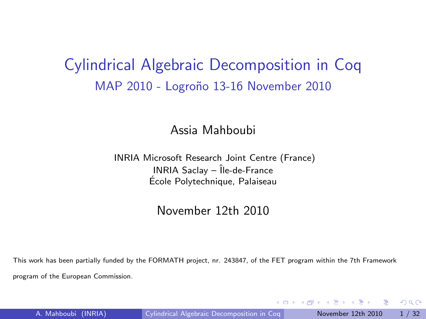### Cylindrical Algebraic Decomposition in Coq MAP 2010 - Logroño 13-16 November 2010

#### Assia Mahboubi

#### INRIA Microsoft Research Joint Centre (France)  $INRIA$  Saclay –  $\hat{I}$ le-de-France Ecole Polytechnique, Palaiseau ´

#### November 12th 2010

This work has been partially funded by the FORMATH project, nr. 243847, of the FET program within the 7th Framework program of the European Commission.

<span id="page-0-0"></span> $QQ$ 

 $\mathcal{L}$  and  $\mathcal{L}$  is a set  $\mathcal{L}$  in  $\mathcal{L}$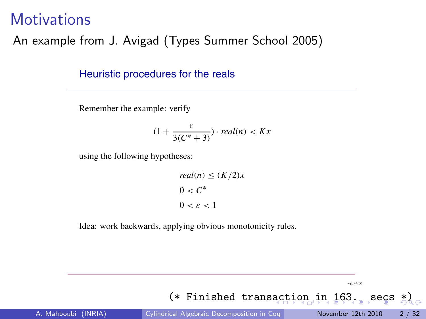#### **Motivations**

#### An example from J. Avigad (Types Summer School 2005)

Heuristic procedures for the reals

Remember the example: verify

$$
(1 + \frac{\varepsilon}{3(C^* + 3)}) \cdot real(n) < Kx
$$

using the following hypotheses:

$$
real(n) \le (K/2)x
$$

$$
0 < C^*
$$

$$
0 < \varepsilon < 1
$$

Idea: work backwards, applying obvious monotonicity rules.

(\* Finished trans[ac](#page-0-0)[ti](#page-2-0)[o](#page-0-0)[n](#page-0-0) [i](#page-2-0)n [16](#page-32-0)[3.](#page-0-0) [s](#page-32-0)[e](#page-0-0)[cs](#page-32-0)  $\lambda$ ) A. Mahboubi (INRIA) [Cylindrical Algebraic Decomposition in Coq](#page-0-0) November 12th 2010 2 / 32

<span id="page-1-0"></span>– p. 44/50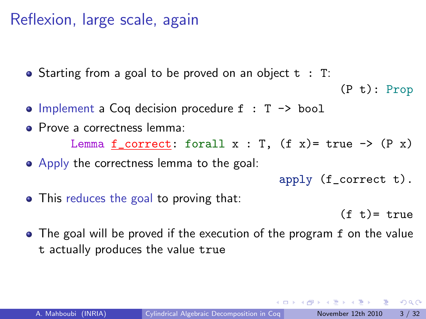### Reflexion, large scale, again

• Starting from a goal to be proved on an object t: T:

```
(P t): Prop
```
- $\bullet$  Implement a Coq decision procedure  $f : T \rightarrow bool$
- **Prove a correctness lemma:** Lemma  $f_{\text{correct}}$ : forall  $x : T$ ,  $(f x) = true \rightarrow (P x)$ • Apply the correctness lemma to the goal:

$$
\verb"apply (f_correct t). \\
$$

• This reduces the goal to proving that:

 $(f +) = \text{true}$ 

• The goal will be proved if the execution of the program f on the value t actually produces the value true

<span id="page-2-0"></span> $\Omega$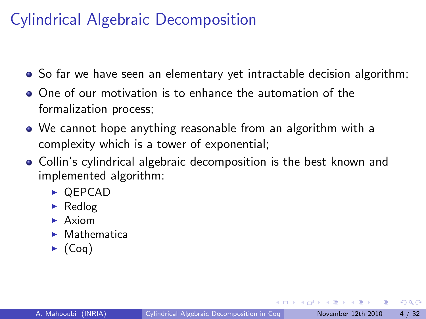- So far we have seen an elementary yet intractable decision algorithm;
- One of our motivation is to enhance the automation of the formalization process;
- We cannot hope anything reasonable from an algorithm with a complexity which is a tower of exponential;
- Collin's cylindrical algebraic decomposition is the best known and implemented algorithm:
	- $\triangleright$  QEPCAD
	- $\blacktriangleright$  Redlog
	- $\blacktriangleright$  Axiom
	- $\blacktriangleright$  Mathematica
	- $\blacktriangleright$  (Coq)

 $QQ$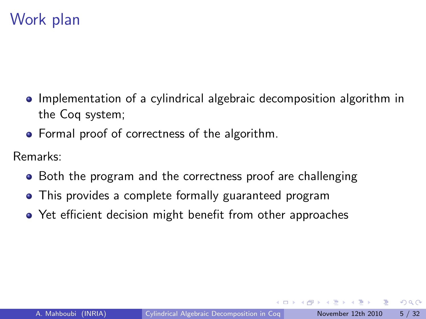# Work plan

- Implementation of a cylindrical algebraic decomposition algorithm in the Coq system;
- Formal proof of correctness of the algorithm.

Remarks:

- Both the program and the correctness proof are challenging
- This provides a complete formally guaranteed program
- Yet efficient decision might benefit from other approaches

 $QQ$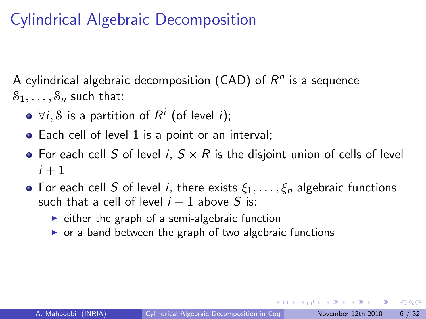A cylindrical algebraic decomposition (CAD) of  $R^n$  is a sequence  $S_1, \ldots, S_n$  such that:

- $\forall i, \mathcal{S}$  is a partition of  $R^i$  (of level  $i)$ ;
- Each cell of level 1 is a point or an interval;
- For each cell S of level i,  $S \times R$  is the disjoint union of cells of level  $i + 1$
- For each cell S of level i, there exists  $\xi_1, \ldots, \xi_n$  algebraic functions such that a cell of level  $i + 1$  above S is:
	- $\triangleright$  either the graph of a semi-algebraic function
	- $\triangleright$  or a band between the graph of two algebraic functions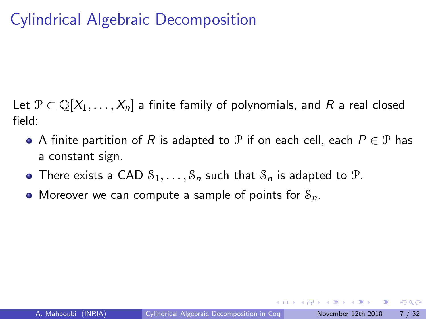Let  $\mathcal{P} \subset \mathbb{Q}[X_1,\ldots,X_n]$  a finite family of polynomials, and R a real closed field:

- $\bullet$  A finite partition of R is adapted to P if on each cell, each  $P \in \mathcal{P}$  has a constant sign.
- There exists a CAD  $S_1, \ldots, S_n$  such that  $S_n$  is adapted to  $\mathcal{P}$ .
- Moreover we can compute a sample of points for  $S_n$ .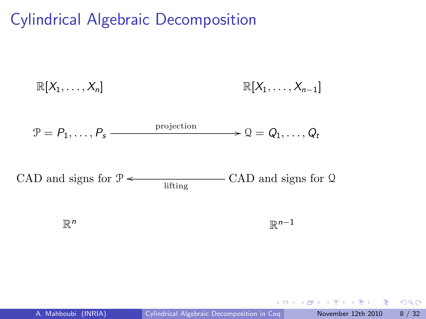$$
\mathbb{R}[X_1,\ldots,X_n] \qquad \mathbb{R}[X_1,\ldots,X_{n-1}]
$$

$$
\mathcal{P} = P_1, \ldots, P_s \xrightarrow{\text{projection}} \mathcal{Q} = Q_1, \ldots, Q_t
$$

CAD and signs for  $\mathcal{P} \leftarrow$  CAD and signs for Q lifting

> $\mathbb{R}^n$  $n \times \mathbb{R}$  $\mathbb{R}^{n-1}$

 $\leftarrow$   $\Box$ 

 $QQ$ 

э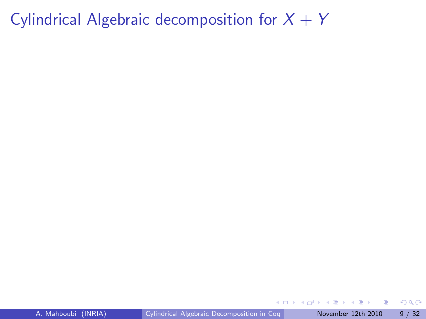Cylindrical Algebraic decomposition for  $X + Y$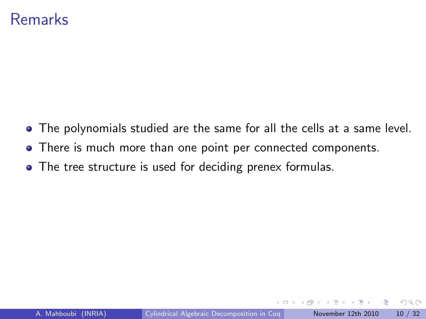### Remarks

- The polynomials studied are the same for all the cells at a same level.
- There is much more than one point per connected components.
- The tree structure is used for deciding prenex formulas.

 $\Omega$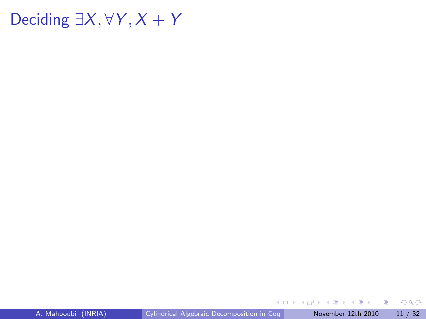# Deciding  $\exists X, \forall Y, X + Y$

イロト イ部 トイヨ トイヨト

画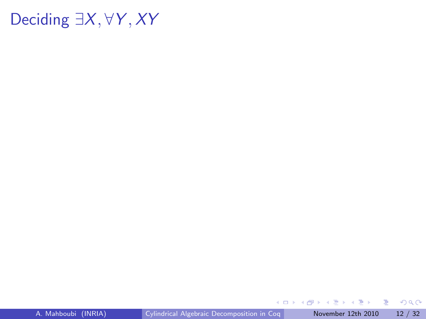### Deciding  $∃X, ∀Y, XY$

 $\mathbf{A} \equiv \mathbf{A} + \mathbf{A} \mathbf{B} + \mathbf{A} \equiv \mathbf{A} + \mathbf{A} \equiv \mathbf{A}$ 

重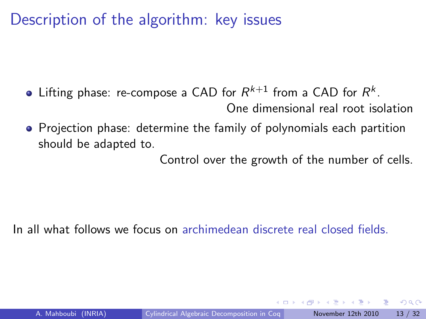Description of the algorithm: key issues

- Lifting phase: re-compose a CAD for  $R^{k+1}$  from a CAD for  $R^k.$ One dimensional real root isolation
- Projection phase: determine the family of polynomials each partition should be adapted to.

Control over the growth of the number of cells.

In all what follows we focus on archimedean discrete real closed fields.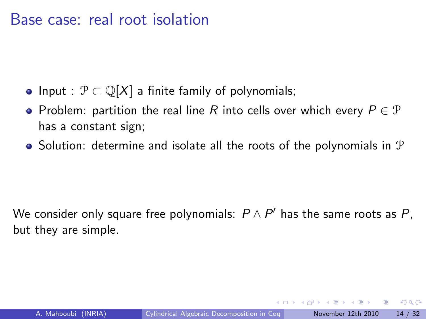- Input :  $\mathcal{P} \subset \mathbb{Q}[X]$  a finite family of polynomials;
- Problem: partition the real line R into cells over which every  $P \in \mathcal{P}$ has a constant sign;
- $\bullet$  Solution: determine and isolate all the roots of the polynomials in  $\mathcal P$

We consider only square free polynomials:  $P \wedge P'$  has the same roots as  $P$ , but they are simple.

 $QQQ$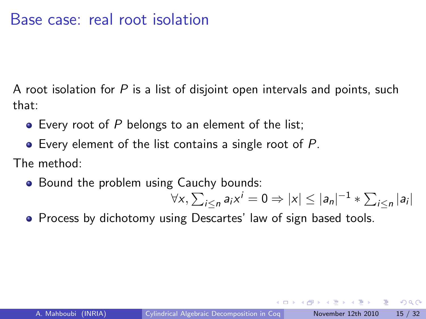A root isolation for  $P$  is a list of disjoint open intervals and points, such that:

- $\bullet$  Every root of P belongs to an element of the list;
- $\bullet$  Every element of the list contains a single root of P.

The method:

• Bound the problem using Cauchy bounds:

 $\forall x, \sum_{i\leq n}a_i x^i = 0 \Rightarrow |x|\leq |a_n|^{-1} * \sum_{i\leq n}|a_i|$ 

**•** Process by dichotomy using Descartes' law of sign based tools.

 $QQQ$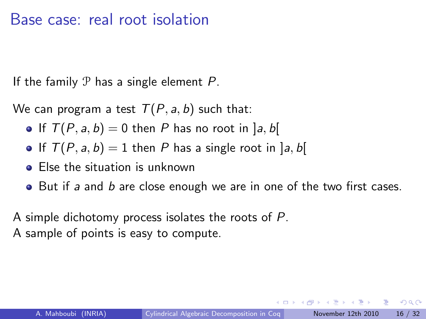If the family  $P$  has a single element  $P$ .

We can program a test  $T(P, a, b)$  such that:

- If  $T(P, a, b) = 0$  then P has no root in [a, b]
- If  $T(P, a, b) = 1$  then P has a single root in [a, b]
- Else the situation is unknown
- But if a and b are close enough we are in one of the two first cases.

A simple dichotomy process isolates the roots of P. A sample of points is easy to compute.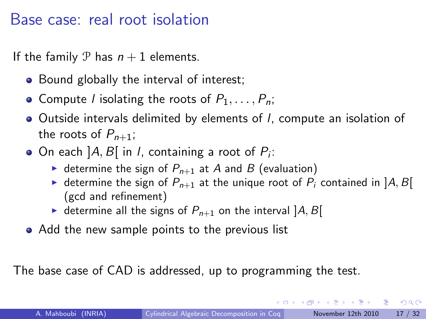If the family P has  $n + 1$  elements.

- Bound globally the interval of interest;
- Compute *l* isolating the roots of  $P_1, \ldots, P_n$ ;
- Outside intervals delimited by elements of l, compute an isolation of the roots of  $P_{n+1}$ ;
- On each ]A, B[ in I, containing a root of  $P_i$ :
	- $\triangleright$  determine the sign of  $P_{n+1}$  at A and B (evaluation)
	- A determine the sign of  $P_{n+1}$  at the unique root of  $P_i$  contained in  $[A, B]$ (gcd and refinement)
	- $\triangleright$  determine all the signs of  $P_{n+1}$  on the interval  $[A, B]$
- Add the new sample points to the previous list

The base case of CAD is addressed, up to programming the test.

 $QQQ$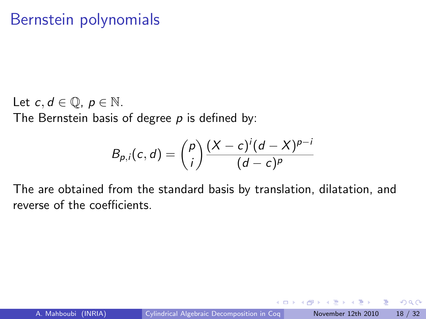### Bernstein polynomials

Let  $c, d \in \mathbb{Q}$ ,  $p \in \mathbb{N}$ . The Bernstein basis of degree  $p$  is defined by:

$$
B_{p,i}(c,d) = {p \choose i} \frac{(X-c)^i (d-X)^{p-i}}{(d-c)^p}
$$

The are obtained from the standard basis by translation, dilatation, and reverse of the coefficients.

 $QQ$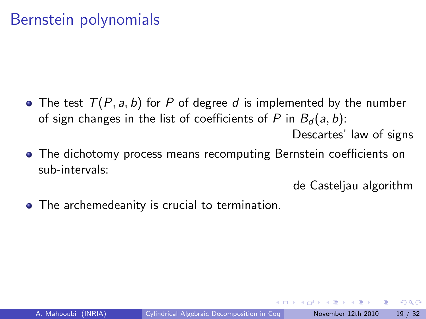### Bernstein polynomials

- The test  $T(P, a, b)$  for P of degree d is implemented by the number of sign changes in the list of coefficients of P in  $B_d(a, b)$ : Descartes' law of signs
- The dichotomy process means recomputing Bernstein coefficients on sub-intervals:

de Casteljau algorithm

• The archemedeanity is crucial to termination.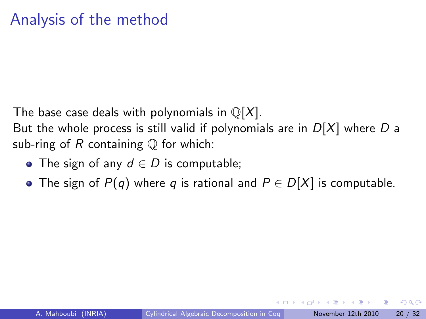The base case deals with polynomials in  $\mathbb{Q}[X]$ .

But the whole process is still valid if polynomials are in  $D[X]$  where D a sub-ring of R containing  $\mathbb Q$  for which:

- The sign of any  $d \in D$  is computable;
- The sign of  $P(q)$  where q is rational and  $P \in D[X]$  is computable.

 $\Omega$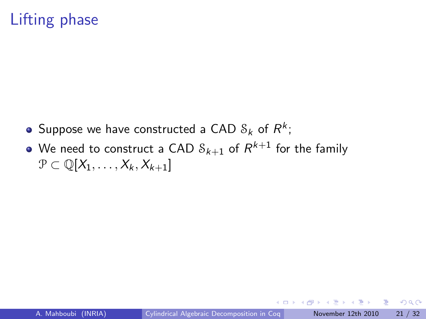# Lifting phase

- Suppose we have constructed a CAD  $\mathcal{S}_k$  of  $R^k;$
- We need to construct a CAD  $\mathcal{S}_{k+1}$  of  $R^{k+1}$  for the family  $\mathcal{P} \subset \mathbb{Q}[X_1,\ldots,X_k,X_{k+1}]$

 $QQ$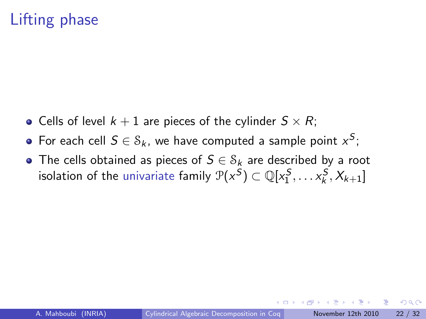# Lifting phase

- Cells of level  $k + 1$  are pieces of the cylinder  $S \times R$ ;
- For each cell  $S \in \mathcal{S}_k$ , we have computed a sample point  $x^S;$
- The cells obtained as pieces of  $S \in S_k$  are described by a root isolation of the univariate family  $\mathcal{P}(x^{\mathcal{S}}) \subset \mathbb{Q}[x_1^{\mathcal{S}}, \ldots x_k^{\mathcal{S}}, X_{k+1}]$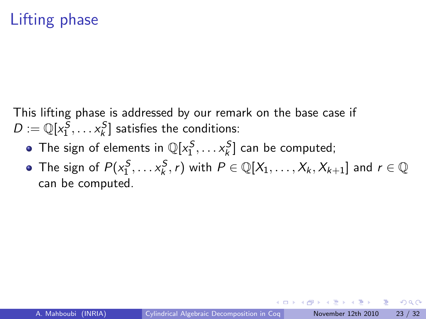# Lifting phase

This lifting phase is addressed by our remark on the base case if  $D:=\mathbb{Q}[x_1^S,\dots x_k^S]$  satisfies the conditions:

- The sign of elements in  $\mathbb{Q}[x_1^S,\ldots x_k^S]$  can be computed;
- The sign of  $P(x_1^S, \ldots x_k^S, r)$  with  $P \in \mathbb{Q}[X_1, \ldots, X_k, X_{k+1}]$  and  $r \in \mathbb{Q}$ can be computed.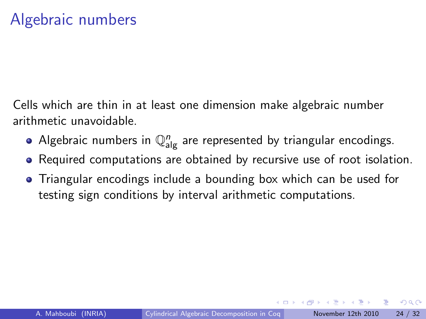Cells which are thin in at least one dimension make algebraic number arithmetic unavoidable.

- Algebraic numbers in  $\mathbb{Q}_{\mathrm{alg}}^n$  are represented by triangular encodings.
- Required computations are obtained by recursive use of root isolation.
- Triangular encodings include a bounding box which can be used for testing sign conditions by interval arithmetic computations.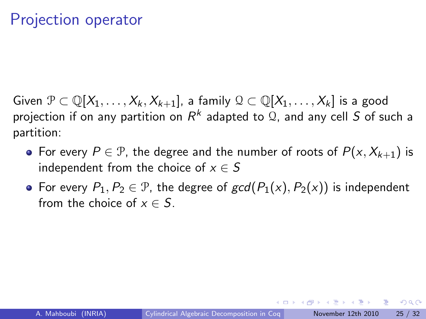Given  $\mathcal{P} \subset \mathbb{Q}[X_1,\ldots,X_k,X_{k+1}]$ , a family  $\mathcal{Q} \subset \mathbb{Q}[X_1,\ldots,X_k]$  is a good projection if on any partition on  $R^k$  adapted to  ${\mathfrak{Q}}$ , and any cell  $S$  of such a partition:

- For every  $P \in \mathcal{P}$ , the degree and the number of roots of  $P(x, X_{k+1})$  is independent from the choice of  $x \in S$
- For every  $P_1, P_2 \in \mathcal{P}$ , the degree of  $gcd(P_1(x), P_2(x))$  is independent from the choice of  $x \in S$ .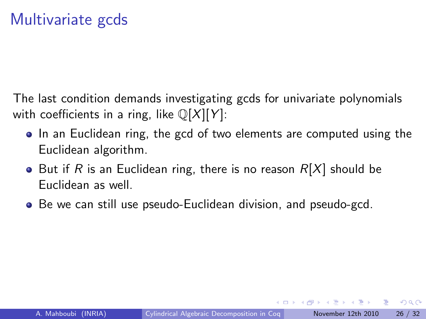The last condition demands investigating gcds for univariate polynomials with coefficients in a ring, like  $\mathbb{Q}[X][Y]$ :

- In an Euclidean ring, the gcd of two elements are computed using the Euclidean algorithm.
- But if R is an Euclidean ring, there is no reason  $R[X]$  should be Euclidean as well.
- Be we can still use pseudo-Euclidean division, and pseudo-gcd.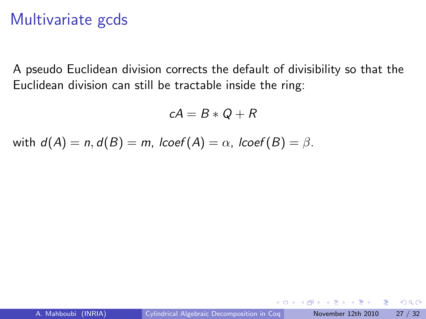### Multivariate gcds

A pseudo Euclidean division corrects the default of divisibility so that the Euclidean division can still be tractable inside the ring:

$$
cA=B\ast Q+R
$$

with  $d(A) = n$ ,  $d(B) = m$ ,  $lcoef(A) = \alpha$ ,  $lcoef(B) = \beta$ .

 $QQ$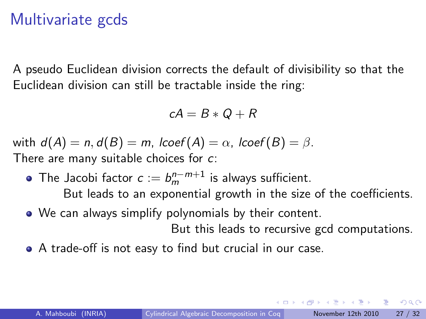### Multivariate gcds

A pseudo Euclidean division corrects the default of divisibility so that the Euclidean division can still be tractable inside the ring:

$$
cA=B\ast Q+R
$$

with  $d(A) = n$ ,  $d(B) = m$ ,  $lcoef(A) = \alpha$ ,  $lcoef(B) = \beta$ . There are many suitable choices for c:

- The Jacobi factor  $c := b_m^{n-m+1}$  is always sufficient. But leads to an exponential growth in the size of the coefficients.
- We can always simplify polynomials by their content.

But this leads to recursive gcd computations.

A trade-off is not easy to find but crucial in our case.

 $\Omega$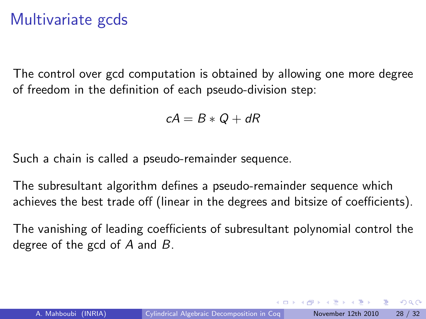### Multivariate gcds

The control over gcd computation is obtained by allowing one more degree of freedom in the definition of each pseudo-division step:

$$
cA = B \ast Q + dR
$$

Such a chain is called a pseudo-remainder sequence.

The subresultant algorithm defines a pseudo-remainder sequence which achieves the best trade off (linear in the degrees and bitsize of coefficients).

The vanishing of leading coefficients of subresultant polynomial control the degree of the gcd of  $A$  and  $B$ .

 $QQ$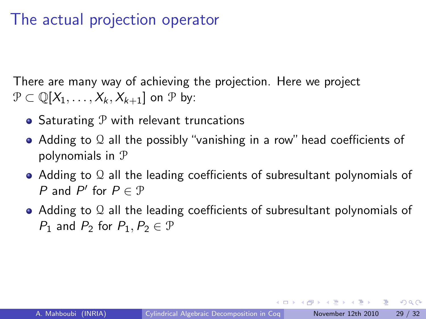### The actual projection operator

There are many way of achieving the projection. Here we project  $\mathcal{P} \subset \mathbb{Q}[X_1,\ldots,X_k,X_{k+1}]$  on  $\mathcal{P}$  by:

- Saturating  $P$  with relevant truncations
- Adding to Q all the possibly "vanishing in a row" head coefficients of polynomials in P
- Adding to Q all the leading coefficients of subresultant polynomials of P and  $P'$  for  $P \in \mathcal{P}$
- Adding to Q all the leading coefficients of subresultant polynomials of  $P_1$  and  $P_2$  for  $P_1, P_2 \in \mathcal{P}$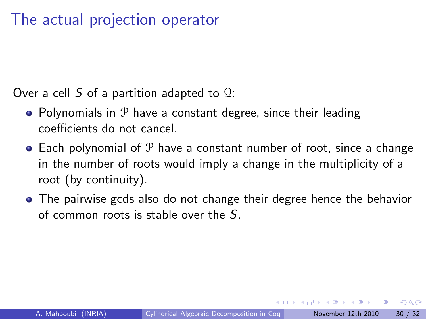### The actual projection operator

Over a cell S of a partition adapted to  $\Omega$ :

- Polynomials in  $P$  have a constant degree, since their leading coefficients do not cancel.
- $\bullet$  Each polynomial of  $\mathcal P$  have a constant number of root, since a change in the number of roots would imply a change in the multiplicity of a root (by continuity).
- The pairwise gcds also do not change their degree hence the behavior of common roots is stable over the S.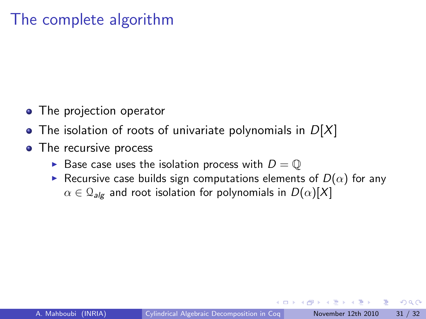### The complete algorithm

- The projection operator
- The isolation of roots of univariate polynomials in  $D[X]$
- The recursive process
	- Base case uses the isolation process with  $D = \mathbb{Q}$
	- **F** Recursive case builds sign computations elements of  $D(\alpha)$  for any  $\alpha \in \mathcal{Q}_{\text{alg}}$  and root isolation for polynomials in  $D(\alpha)[X]$